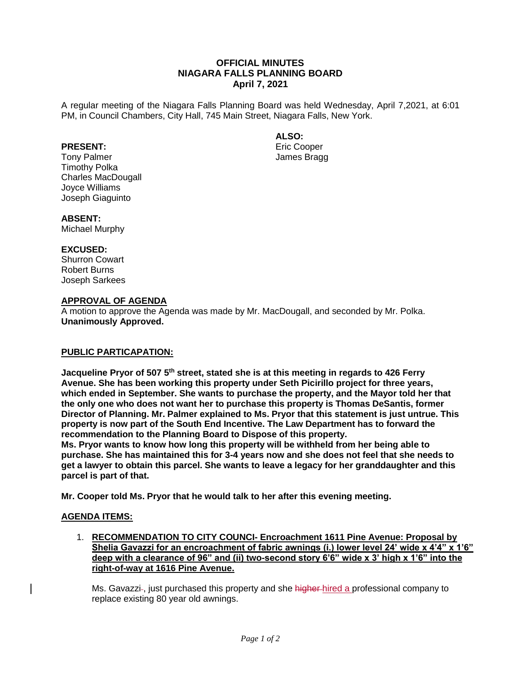# **OFFICIAL MINUTES NIAGARA FALLS PLANNING BOARD April 7, 2021**

A regular meeting of the Niagara Falls Planning Board was held Wednesday, April 7,2021, at 6:01 PM, in Council Chambers, City Hall, 745 Main Street, Niagara Falls, New York.

### **ALSO:**

Eric Cooper James Bragg

# **PRESENT:**

Tony Palmer Timothy Polka Charles MacDougall Joyce Williams Joseph Giaguinto

#### **ABSENT:**

Michael Murphy

#### **EXCUSED:**

Shurron Cowart Robert Burns Joseph Sarkees

# **APPROVAL OF AGENDA**

A motion to approve the Agenda was made by Mr. MacDougall, and seconded by Mr. Polka. **Unanimously Approved.**

## **PUBLIC PARTICAPATION:**

**Jacqueline Pryor of 507 5th street, stated she is at this meeting in regards to 426 Ferry Avenue. She has been working this property under Seth Picirillo project for three years, which ended in September. She wants to purchase the property, and the Mayor told her that the only one who does not want her to purchase this property is Thomas DeSantis, former Director of Planning. Mr. Palmer explained to Ms. Pryor that this statement is just untrue. This property is now part of the South End Incentive. The Law Department has to forward the recommendation to the Planning Board to Dispose of this property.** 

**Ms. Pryor wants to know how long this property will be withheld from her being able to purchase. She has maintained this for 3-4 years now and she does not feel that she needs to get a lawyer to obtain this parcel. She wants to leave a legacy for her granddaughter and this parcel is part of that.**

**Mr. Cooper told Ms. Pryor that he would talk to her after this evening meeting.**

## **AGENDA ITEMS:**

1. **RECOMMENDATION TO CITY COUNCI- Encroachment 1611 Pine Avenue: Proposal by Shelia Gavazzi for an encroachment of fabric awnings (i.) lower level 24' wide x 4'4" x 1'6" deep with a clearance of 96" and (ii) two-second story 6'6" wide x 3' high x 1'6" into the right-of-way at 1616 Pine Avenue.**

Ms. Gavazzi-, just purchased this property and she higher-hired a professional company to replace existing 80 year old awnings.